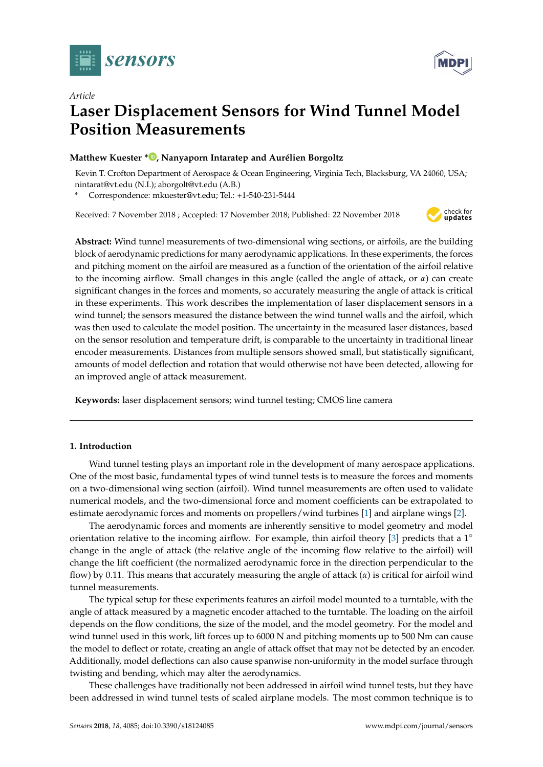

*Article*



# **Laser Displacement Sensors for Wind Tunnel Model Position Measurements**

# **Matthew Kuester \* D**[,](https://orcid.org/0000-0002-9055-9443) Nanyaporn Intaratep and Aurélien Borgoltz

Kevin T. Crofton Department of Aerospace & Ocean Engineering, Virginia Tech, Blacksburg, VA 24060, USA; nintarat@vt.edu (N.I.); aborgolt@vt.edu (A.B.)

**\*** Correspondence: mkuester@vt.edu; Tel.: +1-540-231-5444

Received: 7 November 2018 ; Accepted: 17 November 2018; Published: 22 November 2018



**Abstract:** Wind tunnel measurements of two-dimensional wing sections, or airfoils, are the building block of aerodynamic predictions for many aerodynamic applications. In these experiments, the forces and pitching moment on the airfoil are measured as a function of the orientation of the airfoil relative to the incoming airflow. Small changes in this angle (called the angle of attack, or *α*) can create significant changes in the forces and moments, so accurately measuring the angle of attack is critical in these experiments. This work describes the implementation of laser displacement sensors in a wind tunnel; the sensors measured the distance between the wind tunnel walls and the airfoil, which was then used to calculate the model position. The uncertainty in the measured laser distances, based on the sensor resolution and temperature drift, is comparable to the uncertainty in traditional linear encoder measurements. Distances from multiple sensors showed small, but statistically significant, amounts of model deflection and rotation that would otherwise not have been detected, allowing for an improved angle of attack measurement.

**Keywords:** laser displacement sensors; wind tunnel testing; CMOS line camera

# **1. Introduction**

Wind tunnel testing plays an important role in the development of many aerospace applications. One of the most basic, fundamental types of wind tunnel tests is to measure the forces and moments on a two-dimensional wing section (airfoil). Wind tunnel measurements are often used to validate numerical models, and the two-dimensional force and moment coefficients can be extrapolated to estimate aerodynamic forces and moments on propellers/wind turbines [\[1\]](#page-12-0) and airplane wings [\[2\]](#page-12-1).

The aerodynamic forces and moments are inherently sensitive to model geometry and model orientation relative to the incoming airflow. For example, thin airfoil theory [\[3\]](#page-12-2) predicts that a  $1^{\circ}$ change in the angle of attack (the relative angle of the incoming flow relative to the airfoil) will change the lift coefficient (the normalized aerodynamic force in the direction perpendicular to the flow) by 0.11. This means that accurately measuring the angle of attack (*α*) is critical for airfoil wind tunnel measurements.

The typical setup for these experiments features an airfoil model mounted to a turntable, with the angle of attack measured by a magnetic encoder attached to the turntable. The loading on the airfoil depends on the flow conditions, the size of the model, and the model geometry. For the model and wind tunnel used in this work, lift forces up to 6000 N and pitching moments up to 500 Nm can cause the model to deflect or rotate, creating an angle of attack offset that may not be detected by an encoder. Additionally, model deflections can also cause spanwise non-uniformity in the model surface through twisting and bending, which may alter the aerodynamics.

These challenges have traditionally not been addressed in airfoil wind tunnel tests, but they have been addressed in wind tunnel tests of scaled airplane models. The most common technique is to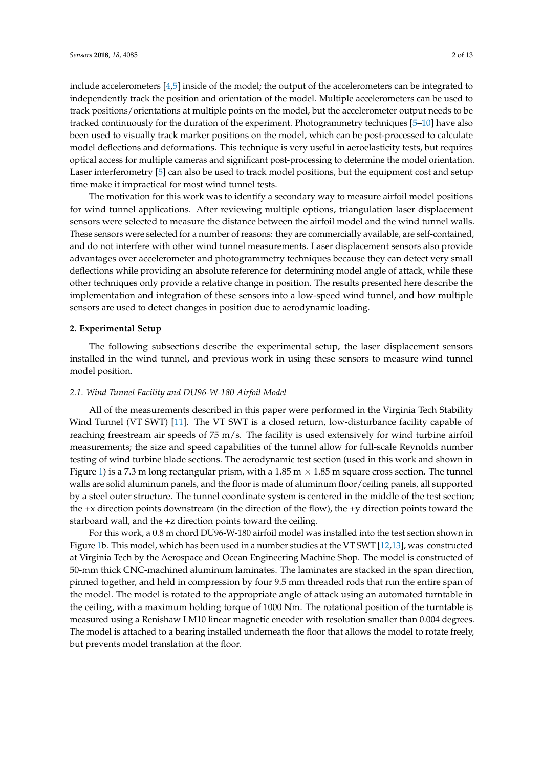include accelerometers [\[4,](#page-12-3)[5\]](#page-12-4) inside of the model; the output of the accelerometers can be integrated to independently track the position and orientation of the model. Multiple accelerometers can be used to track positions/orientations at multiple points on the model, but the accelerometer output needs to be tracked continuously for the duration of the experiment. Photogrammetry techniques [\[5–](#page-12-4)[10\]](#page-12-5) have also been used to visually track marker positions on the model, which can be post-processed to calculate model deflections and deformations. This technique is very useful in aeroelasticity tests, but requires optical access for multiple cameras and significant post-processing to determine the model orientation. Laser interferometry [\[5\]](#page-12-4) can also be used to track model positions, but the equipment cost and setup time make it impractical for most wind tunnel tests.

The motivation for this work was to identify a secondary way to measure airfoil model positions for wind tunnel applications. After reviewing multiple options, triangulation laser displacement sensors were selected to measure the distance between the airfoil model and the wind tunnel walls. These sensors were selected for a number of reasons: they are commercially available, are self-contained, and do not interfere with other wind tunnel measurements. Laser displacement sensors also provide advantages over accelerometer and photogrammetry techniques because they can detect very small deflections while providing an absolute reference for determining model angle of attack, while these other techniques only provide a relative change in position. The results presented here describe the implementation and integration of these sensors into a low-speed wind tunnel, and how multiple sensors are used to detect changes in position due to aerodynamic loading.

## **2. Experimental Setup**

The following subsections describe the experimental setup, the laser displacement sensors installed in the wind tunnel, and previous work in using these sensors to measure wind tunnel model position.

# *2.1. Wind Tunnel Facility and DU96-W-180 Airfoil Model*

All of the measurements described in this paper were performed in the Virginia Tech Stability Wind Tunnel (VT SWT) [\[11\]](#page-12-6). The VT SWT is a closed return, low-disturbance facility capable of reaching freestream air speeds of 75 m/s. The facility is used extensively for wind turbine airfoil measurements; the size and speed capabilities of the tunnel allow for full-scale Reynolds number testing of wind turbine blade sections. The aerodynamic test section (used in this work and shown in Figure [1\)](#page-2-0) is a 7.3 m long rectangular prism, with a 1.85 m  $\times$  1.85 m square cross section. The tunnel walls are solid aluminum panels, and the floor is made of aluminum floor/ceiling panels, all supported by a steel outer structure. The tunnel coordinate system is centered in the middle of the test section; the +x direction points downstream (in the direction of the flow), the +y direction points toward the starboard wall, and the +z direction points toward the ceiling.

For this work, a 0.8 m chord DU96-W-180 airfoil model was installed into the test section shown in Figure [1b](#page-2-0). This model, which has been used in a number studies at the VT SWT [\[12,](#page-12-7)[13\]](#page-12-8), was constructed at Virginia Tech by the Aerospace and Ocean Engineering Machine Shop. The model is constructed of 50-mm thick CNC-machined aluminum laminates. The laminates are stacked in the span direction, pinned together, and held in compression by four 9.5 mm threaded rods that run the entire span of the model. The model is rotated to the appropriate angle of attack using an automated turntable in the ceiling, with a maximum holding torque of 1000 Nm. The rotational position of the turntable is measured using a Renishaw LM10 linear magnetic encoder with resolution smaller than 0.004 degrees. The model is attached to a bearing installed underneath the floor that allows the model to rotate freely, but prevents model translation at the floor.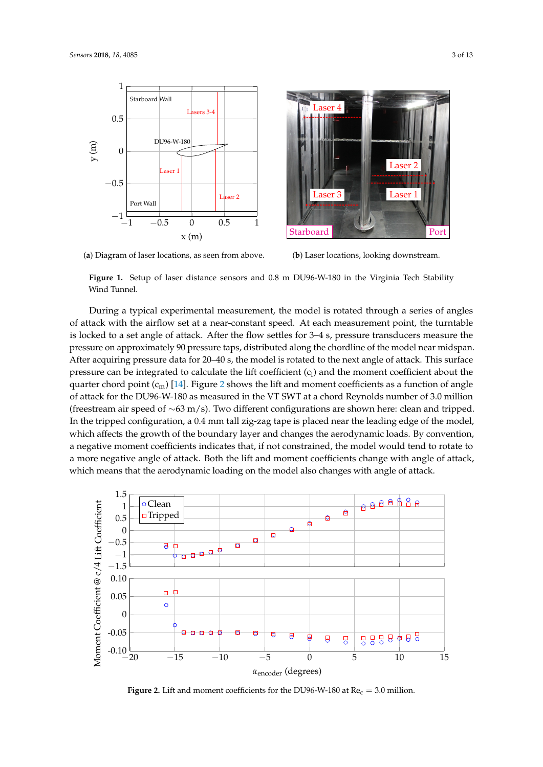

<span id="page-2-0"></span>

(**a**) Diagram of laser locations, as seen from above.

(**b**) Laser locations, looking downstream.

**Figure 1.** Setup of laser distance sensors and 0.8 m DU96-W-180 in the Virginia Tech Stability Wind Tunnel.

During a typical experimental measurement, the model is rotated through a series of angles of attack with the airflow set at a near-constant speed. At each measurement point, the turntable is locked to a set angle of attack. After the flow settles for 3–4 s, pressure transducers measure the pressure on approximately 90 pressure taps, distributed along the chordline of the model near midspan. After acquiring pressure data for 20–40 s, the model is rotated to the next angle of attack. This surface pressure can be integrated to calculate the lift coefficient  $(c<sub>l</sub>)$  and the moment coefficient about the quarter chord point  $(c_m)$  [\[14\]](#page-12-9). Figure [2](#page-2-1) shows the lift and moment coefficients as a function of angle of attack for the DU96-W-180 as measured in the VT SWT at a chord Reynolds number of 3.0 million (freestream air speed of ∼63 m/s). Two different configurations are shown here: clean and tripped. In the tripped configuration, a 0.4 mm tall zig-zag tape is placed near the leading edge of the model, which affects the growth of the boundary layer and changes the aerodynamic loads. By convention, a negative moment coefficients indicates that, if not constrained, the model would tend to rotate to a more negative angle of attack. Both the lift and moment coefficients change with angle of attack, which means that the aerodynamic loading on the model also changes with angle of attack.

<span id="page-2-1"></span>

**Figure 2.** Lift and moment coefficients for the DU96-W-180 at  $Re<sub>c</sub> = 3.0$  million.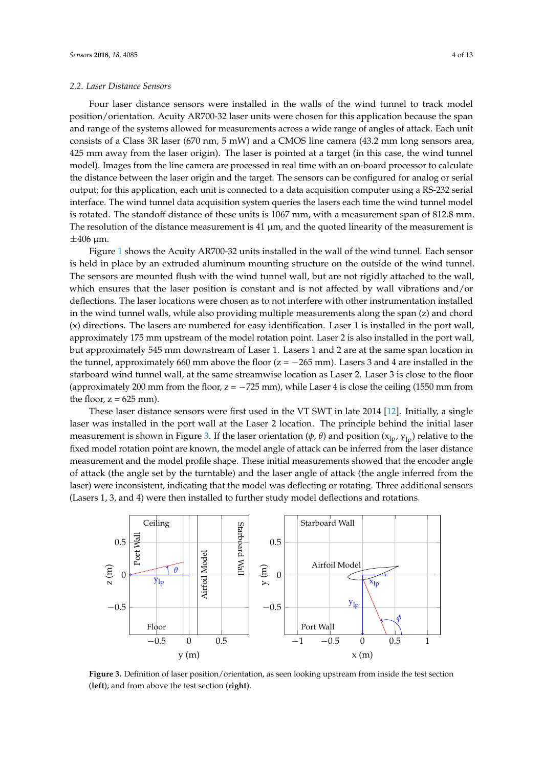## <span id="page-3-1"></span>*2.2. Laser Distance Sensors*

Four laser distance sensors were installed in the walls of the wind tunnel to track model position/orientation. Acuity AR700-32 laser units were chosen for this application because the span and range of the systems allowed for measurements across a wide range of angles of attack. Each unit consists of a Class 3R laser (670 nm, 5 mW) and a CMOS line camera (43.2 mm long sensors area, 425 mm away from the laser origin). The laser is pointed at a target (in this case, the wind tunnel model). Images from the line camera are processed in real time with an on-board processor to calculate the distance between the laser origin and the target. The sensors can be configured for analog or serial output; for this application, each unit is connected to a data acquisition computer using a RS-232 serial interface. The wind tunnel data acquisition system queries the lasers each time the wind tunnel model is rotated. The standoff distance of these units is 1067 mm, with a measurement span of 812.8 mm. The resolution of the distance measurement is 41  $\mu$ m, and the quoted linearity of the measurement is  $\pm 406$  µm.

Figure [1](#page-2-0) shows the Acuity AR700-32 units installed in the wall of the wind tunnel. Each sensor is held in place by an extruded aluminum mounting structure on the outside of the wind tunnel. The sensors are mounted flush with the wind tunnel wall, but are not rigidly attached to the wall, which ensures that the laser position is constant and is not affected by wall vibrations and/or deflections. The laser locations were chosen as to not interfere with other instrumentation installed in the wind tunnel walls, while also providing multiple measurements along the span (z) and chord (x) directions. The lasers are numbered for easy identification. Laser 1 is installed in the port wall, approximately 175 mm upstream of the model rotation point. Laser 2 is also installed in the port wall, but approximately 545 mm downstream of Laser 1. Lasers 1 and 2 are at the same span location in the tunnel, approximately 660 mm above the floor ( $z = -265$  mm). Lasers 3 and 4 are installed in the starboard wind tunnel wall, at the same streamwise location as Laser 2. Laser 3 is close to the floor (approximately 200 mm from the floor,  $z = -725$  mm), while Laser 4 is close the ceiling (1550 mm from the floor,  $z = 625$  mm).

These laser distance sensors were first used in the VT SWT in late 2014 [\[12\]](#page-12-7). Initially, a single laser was installed in the port wall at the Laser 2 location. The principle behind the initial laser measurement is shown in Figure [3.](#page-3-0) If the laser orientation ( $\phi$ ,  $\theta$ ) and position ( $x_{lp}$ ,  $y_{lp}$ ) relative to the fixed model rotation point are known, the model angle of attack can be inferred from the laser distance measurement and the model profile shape. These initial measurements showed that the encoder angle of attack (the angle set by the turntable) and the laser angle of attack (the angle inferred from the laser) were inconsistent, indicating that the model was deflecting or rotating. Three additional sensors (Lasers 1, 3, and 4) were then installed to further study model deflections and rotations.

<span id="page-3-0"></span>

**Figure 3.** Definition of laser position/orientation, as seen looking upstream from inside the test section (**left**); and from above the test section (**right**).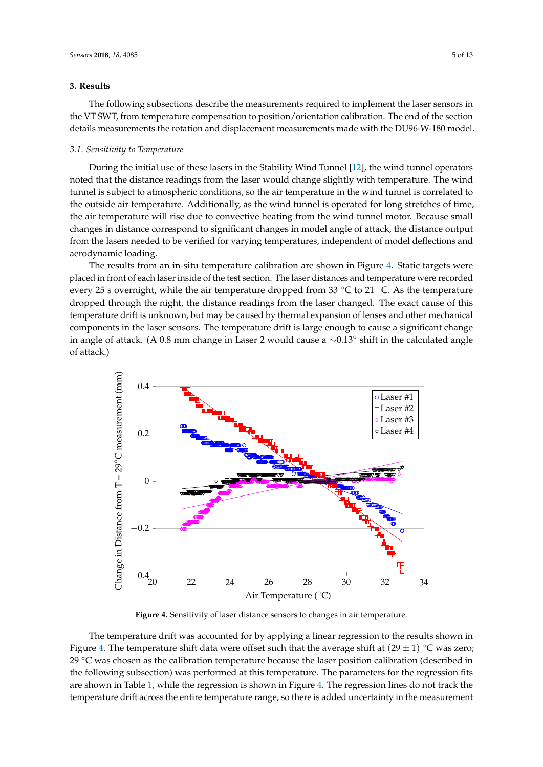## **3. Results**

The following subsections describe the measurements required to implement the laser sensors in the VT SWT, from temperature compensation to position/orientation calibration. The end of the section details measurements the rotation and displacement measurements made with the DU96-W-180 model.

#### *3.1. Sensitivity to Temperature*

During the initial use of these lasers in the Stability Wind Tunnel [\[12\]](#page-12-7), the wind tunnel operators noted that the distance readings from the laser would change slightly with temperature. The wind tunnel is subject to atmospheric conditions, so the air temperature in the wind tunnel is correlated to the outside air temperature. Additionally, as the wind tunnel is operated for long stretches of time, the air temperature will rise due to convective heating from the wind tunnel motor. Because small changes in distance correspond to significant changes in model angle of attack, the distance output from the lasers needed to be verified for varying temperatures, independent of model deflections and aerodynamic loading.

The results from an in-situ temperature calibration are shown in Figure [4.](#page-4-0) Static targets were placed in front of each laser inside of the test section. The laser distances and temperature were recorded every 25 s overnight, while the air temperature dropped from 33 ◦C to 21 ◦C. As the temperature dropped through the night, the distance readings from the laser changed. The exact cause of this temperature drift is unknown, but may be caused by thermal expansion of lenses and other mechanical components in the laser sensors. The temperature drift is large enough to cause a significant change in angle of attack. (A 0.8 mm change in Laser 2 would cause a ∼0.13◦ shift in the calculated angle of attack.)

<span id="page-4-0"></span>

**Figure 4.** Sensitivity of laser distance sensors to changes in air temperature.

The temperature drift was accounted for by applying a linear regression to the results shown in Figure [4.](#page-4-0) The temperature shift data were offset such that the average shift at  $(29 \pm 1)$  °C was zero; 29  $\degree$ C was chosen as the calibration temperature because the laser position calibration (described in the following subsection) was performed at this temperature. The parameters for the regression fits are shown in Table [1,](#page-5-0) while the regression is shown in Figure [4.](#page-4-0) The regression lines do not track the temperature drift across the entire temperature range, so there is added uncertainty in the measurement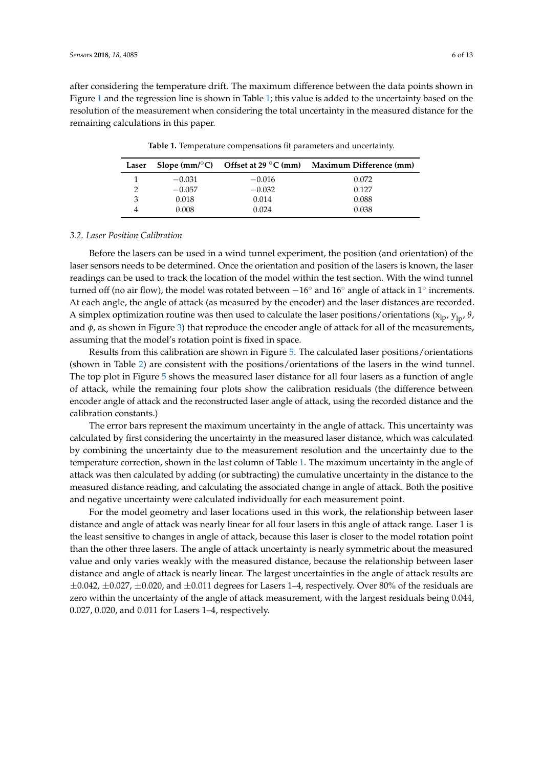<span id="page-5-0"></span>after considering the temperature drift. The maximum difference between the data points shown in Figure [1](#page-5-0) and the regression line is shown in Table [1;](#page-5-0) this value is added to the uncertainty based on the resolution of the measurement when considering the total uncertainty in the measured distance for the remaining calculations in this paper.

| Laser |          |          | Slope (mm/ $\textdegree$ C) Offset at 29 $\textdegree$ C (mm) Maximum Difference (mm) |
|-------|----------|----------|---------------------------------------------------------------------------------------|
|       | $-0.031$ | $-0.016$ | 0.072                                                                                 |
|       | $-0.057$ | $-0.032$ | 0.127                                                                                 |
| 3     | 0.018    | 0.014    | 0.088                                                                                 |
|       | 0.008    | 0.024    | 0.038                                                                                 |

**Table 1.** Temperature compensations fit parameters and uncertainty.

## <span id="page-5-1"></span>*3.2. Laser Position Calibration*

Before the lasers can be used in a wind tunnel experiment, the position (and orientation) of the laser sensors needs to be determined. Once the orientation and position of the lasers is known, the laser readings can be used to track the location of the model within the test section. With the wind tunnel turned off (no air flow), the model was rotated between  $-16°$  and  $16°$  angle of attack in 1° increments. At each angle, the angle of attack (as measured by the encoder) and the laser distances are recorded. A simplex optimization routine was then used to calculate the laser positions/orientations ( $x<sub>lp</sub>$ ,  $y<sub>ln</sub>$ ,  $\theta$ , and  $\phi$ , as shown in Figure [3\)](#page-3-0) that reproduce the encoder angle of attack for all of the measurements, assuming that the model's rotation point is fixed in space.

Results from this calibration are shown in Figure [5.](#page-6-0) The calculated laser positions/orientations (shown in Table [2\)](#page-6-1) are consistent with the positions/orientations of the lasers in the wind tunnel. The top plot in Figure [5](#page-6-0) shows the measured laser distance for all four lasers as a function of angle of attack, while the remaining four plots show the calibration residuals (the difference between encoder angle of attack and the reconstructed laser angle of attack, using the recorded distance and the calibration constants.)

The error bars represent the maximum uncertainty in the angle of attack. This uncertainty was calculated by first considering the uncertainty in the measured laser distance, which was calculated by combining the uncertainty due to the measurement resolution and the uncertainty due to the temperature correction, shown in the last column of Table [1.](#page-5-0) The maximum uncertainty in the angle of attack was then calculated by adding (or subtracting) the cumulative uncertainty in the distance to the measured distance reading, and calculating the associated change in angle of attack. Both the positive and negative uncertainty were calculated individually for each measurement point.

For the model geometry and laser locations used in this work, the relationship between laser distance and angle of attack was nearly linear for all four lasers in this angle of attack range. Laser 1 is the least sensitive to changes in angle of attack, because this laser is closer to the model rotation point than the other three lasers. The angle of attack uncertainty is nearly symmetric about the measured value and only varies weakly with the measured distance, because the relationship between laser distance and angle of attack is nearly linear. The largest uncertainties in the angle of attack results are  $\pm 0.042$ ,  $\pm 0.027$ ,  $\pm 0.020$ , and  $\pm 0.011$  degrees for Lasers 1–4, respectively. Over 80% of the residuals are zero within the uncertainty of the angle of attack measurement, with the largest residuals being 0.044, 0.027, 0.020, and 0.011 for Lasers 1–4, respectively.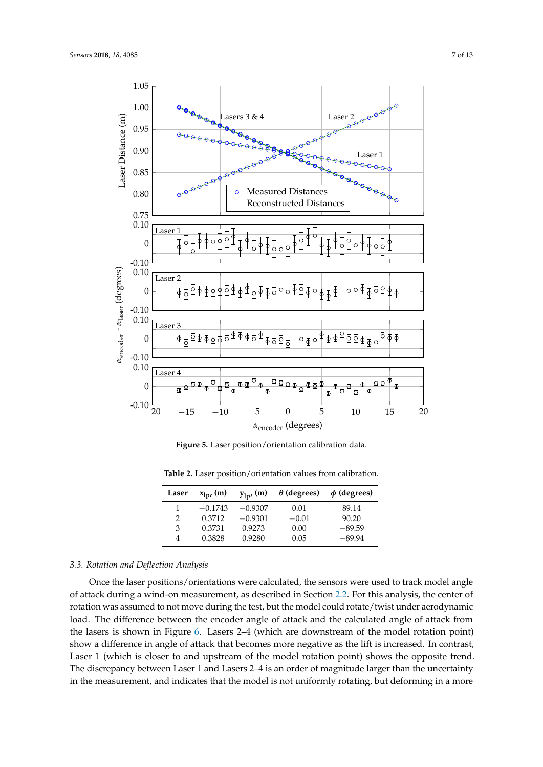<span id="page-6-0"></span>

**Figure 5.** Laser position/orientation calibration data.

| Laser | $x_{1p}$ , (m) | $y_{lp'}(m)$ | $\theta$ (degrees) | $\phi$ (degrees) |
|-------|----------------|--------------|--------------------|------------------|
| 1     | $-0.1743$      | $-0.9307$    | 0.01               | 89.14            |
| 2     | 0.3712         | $-0.9301$    | $-0.01$            | 90.20            |
| 3     | 0.3731         | 0.9273       | 0.00               | $-89.59$         |
| 4     | 0.3828         | 0.9280       | 0.05               | $-89.94$         |

<span id="page-6-1"></span>**Table 2.** Laser position/orientation values from calibration.

# <span id="page-6-2"></span>*3.3. Rotation and Deflection Analysis*

Once the laser positions/orientations were calculated, the sensors were used to track model angle of attack during a wind-on measurement, as described in Section [2.2.](#page-3-1) For this analysis, the center of rotation was assumed to not move during the test, but the model could rotate/twist under aerodynamic load. The difference between the encoder angle of attack and the calculated angle of attack from the lasers is shown in Figure [6.](#page-7-0) Lasers 2–4 (which are downstream of the model rotation point) show a difference in angle of attack that becomes more negative as the lift is increased. In contrast, Laser 1 (which is closer to and upstream of the model rotation point) shows the opposite trend. The discrepancy between Laser 1 and Lasers 2–4 is an order of magnitude larger than the uncertainty in the measurement, and indicates that the model is not uniformly rotating, but deforming in a more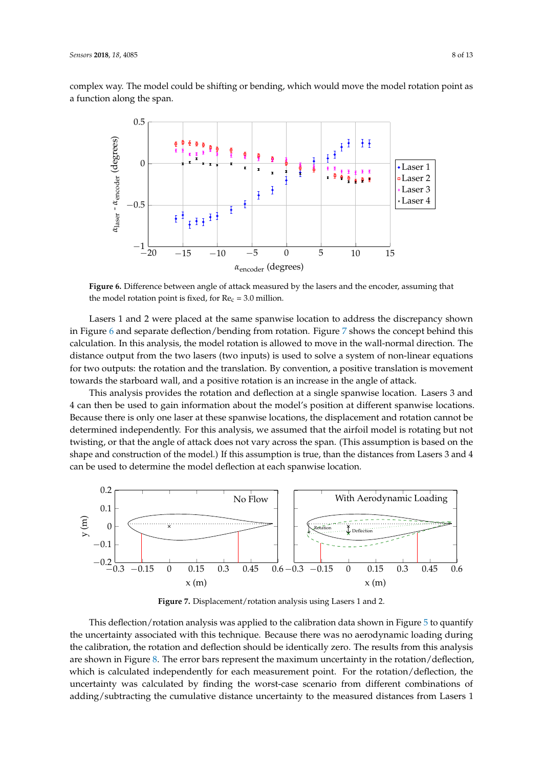<span id="page-7-0"></span>complex way. The model could be shifting or bending, which would move the model rotation point as a function along the span.



**Figure 6.** Difference between angle of attack measured by the lasers and the encoder, assuming that the model rotation point is fixed, for  $Re<sub>c</sub> = 3.0$  million.

Lasers 1 and 2 were placed at the same spanwise location to address the discrepancy shown in Figure [6](#page-7-0) and separate deflection/bending from rotation. Figure [7](#page-7-1) shows the concept behind this calculation. In this analysis, the model rotation is allowed to move in the wall-normal direction. The distance output from the two lasers (two inputs) is used to solve a system of non-linear equations for two outputs: the rotation and the translation. By convention, a positive translation is movement towards the starboard wall, and a positive rotation is an increase in the angle of attack.

This analysis provides the rotation and deflection at a single spanwise location. Lasers 3 and 4 can then be used to gain information about the model's position at different spanwise locations. Because there is only one laser at these spanwise locations, the displacement and rotation cannot be determined independently. For this analysis, we assumed that the airfoil model is rotating but not twisting, or that the angle of attack does not vary across the span. (This assumption is based on the shape and construction of the model.) If this assumption is true, than the distances from Lasers 3 and 4 can be used to determine the model deflection at each spanwise location.

<span id="page-7-1"></span>

**Figure 7.** Displacement/rotation analysis using Lasers 1 and 2.

This deflection/rotation analysis was applied to the calibration data shown in Figure [5](#page-6-0) to quantify the uncertainty associated with this technique. Because there was no aerodynamic loading during the calibration, the rotation and deflection should be identically zero. The results from this analysis are shown in Figure [8.](#page-8-0) The error bars represent the maximum uncertainty in the rotation/deflection, which is calculated independently for each measurement point. For the rotation/deflection, the uncertainty was calculated by finding the worst-case scenario from different combinations of adding/subtracting the cumulative distance uncertainty to the measured distances from Lasers 1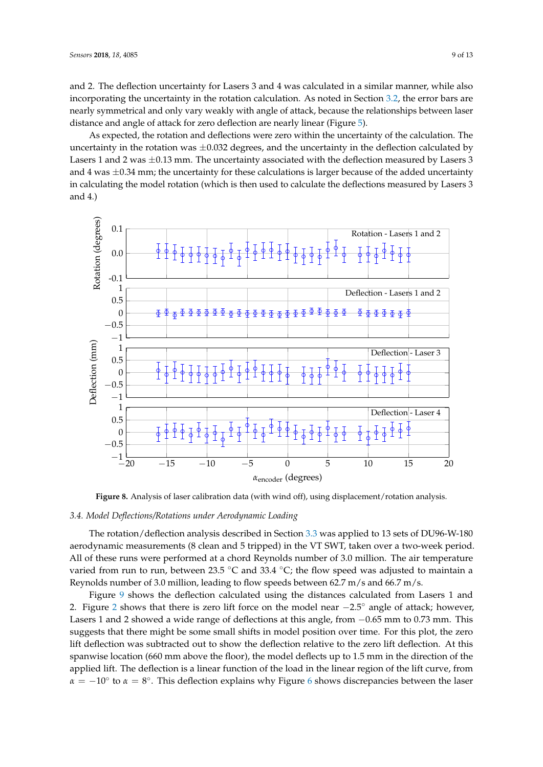and 2. The deflection uncertainty for Lasers 3 and 4 was calculated in a similar manner, while also incorporating the uncertainty in the rotation calculation. As noted in Section [3.2,](#page-5-1) the error bars are nearly symmetrical and only vary weakly with angle of attack, because the relationships between laser distance and angle of attack for zero deflection are nearly linear (Figure [5\)](#page-6-0).

As expected, the rotation and deflections were zero within the uncertainty of the calculation. The uncertainty in the rotation was  $\pm 0.032$  degrees, and the uncertainty in the deflection calculated by Lasers 1 and 2 was  $\pm 0.13$  mm. The uncertainty associated with the deflection measured by Lasers 3 and 4 was  $\pm 0.34$  mm; the uncertainty for these calculations is larger because of the added uncertainty in calculating the model rotation (which is then used to calculate the deflections measured by Lasers 3 and 4.)

<span id="page-8-0"></span>

**Figure 8.** Analysis of laser calibration data (with wind off), using displacement/rotation analysis.

# *3.4. Model Deflections/Rotations under Aerodynamic Loading*

The rotation/deflection analysis described in Section [3.3](#page-6-2) was applied to 13 sets of DU96-W-180 aerodynamic measurements (8 clean and 5 tripped) in the VT SWT, taken over a two-week period. All of these runs were performed at a chord Reynolds number of 3.0 million. The air temperature varied from run to run, between 23.5 °C and 33.4 °C; the flow speed was adjusted to maintain a Reynolds number of 3.0 million, leading to flow speeds between 62.7 m/s and 66.7 m/s.

Figure [9](#page-9-0) shows the deflection calculated using the distances calculated from Lasers 1 and [2](#page-2-1). Figure 2 shows that there is zero lift force on the model near  $-2.5^\circ$  angle of attack; however, Lasers 1 and 2 showed a wide range of deflections at this angle, from −0.65 mm to 0.73 mm. This suggests that there might be some small shifts in model position over time. For this plot, the zero lift deflection was subtracted out to show the deflection relative to the zero lift deflection. At this spanwise location (660 mm above the floor), the model deflects up to 1.5 mm in the direction of the applied lift. The deflection is a linear function of the load in the linear region of the lift curve, from  $\alpha = -10^{\circ}$  to  $\alpha = 8^{\circ}$ . This deflection explains why Figure [6](#page-7-0) shows discrepancies between the laser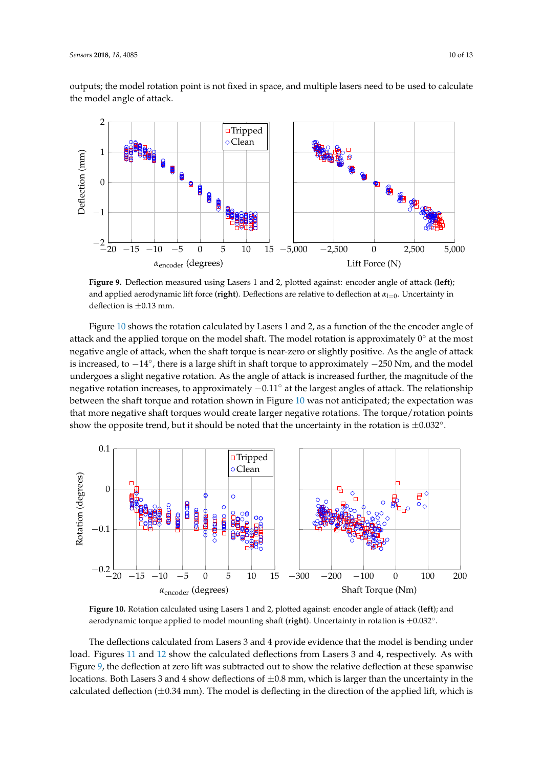outputs; the model rotation point is not fixed in space, and multiple lasers need to be used to calculate the model angle of attack.

<span id="page-9-0"></span>

**Figure 9.** Deflection measured using Lasers 1 and 2, plotted against: encoder angle of attack (**left**); and applied aerodynamic lift force (**right**). Deflections are relative to deflection at α<sub>l=0</sub>. Uncertainty in deflection is  $\pm 0.13$  mm.

Figure [10](#page-9-1) shows the rotation calculated by Lasers 1 and 2, as a function of the the encoder angle of attack and the applied torque on the model shaft. The model rotation is approximately  $0^\circ$  at the most negative angle of attack, when the shaft torque is near-zero or slightly positive. As the angle of attack is increased, to −14◦ , there is a large shift in shaft torque to approximately −250 Nm, and the model undergoes a slight negative rotation. As the angle of attack is increased further, the magnitude of the negative rotation increases, to approximately  $-0.11°$  at the largest angles of attack. The relationship between the shaft torque and rotation shown in Figure [10](#page-9-1) was not anticipated; the expectation was that more negative shaft torques would create larger negative rotations. The torque/rotation points show the opposite trend, but it should be noted that the uncertainty in the rotation is  $\pm 0.032^{\circ}$ .

<span id="page-9-1"></span>

**Figure 10.** Rotation calculated using Lasers 1 and 2, plotted against: encoder angle of attack (**left**); and aerodynamic torque applied to model mounting shaft (**right**). Uncertainty in rotation is ±0.032◦ .

The deflections calculated from Lasers 3 and 4 provide evidence that the model is bending under load. Figures [11](#page-10-0) and [12](#page-10-1) show the calculated deflections from Lasers 3 and 4, respectively. As with Figure [9,](#page-9-0) the deflection at zero lift was subtracted out to show the relative deflection at these spanwise locations. Both Lasers 3 and 4 show deflections of  $\pm 0.8$  mm, which is larger than the uncertainty in the calculated deflection  $(\pm 0.34 \text{ mm})$ . The model is deflecting in the direction of the applied lift, which is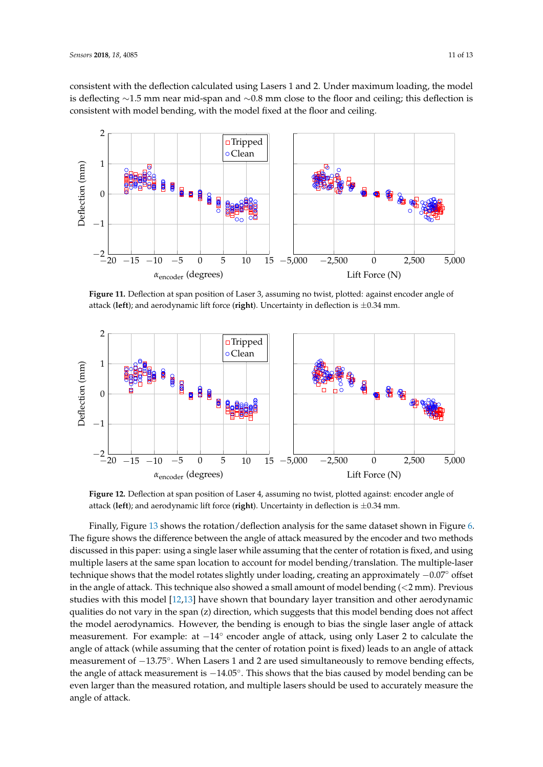consistent with the deflection calculated using Lasers 1 and 2. Under maximum loading, the model is deflecting ∼1.5 mm near mid-span and ∼0.8 mm close to the floor and ceiling; this deflection is consistent with model bending, with the model fixed at the floor and ceiling.

<span id="page-10-0"></span>

**Figure 11.** Deflection at span position of Laser 3, assuming no twist, plotted: against encoder angle of attack (**left**); and aerodynamic lift force (**right**). Uncertainty in deflection is ±0.34 mm.

<span id="page-10-1"></span>

**Figure 12.** Deflection at span position of Laser 4, assuming no twist, plotted against: encoder angle of attack (**left**); and aerodynamic lift force (**right**). Uncertainty in deflection is ±0.34 mm.

Finally, Figure [13](#page-11-0) shows the rotation/deflection analysis for the same dataset shown in Figure [6.](#page-7-0) The figure shows the difference between the angle of attack measured by the encoder and two methods discussed in this paper: using a single laser while assuming that the center of rotation is fixed, and using multiple lasers at the same span location to account for model bending/translation. The multiple-laser technique shows that the model rotates slightly under loading, creating an approximately −0.07◦ offset in the angle of attack. This technique also showed a small amount of model bending (<2 mm). Previous studies with this model [\[12](#page-12-7)[,13\]](#page-12-8) have shown that boundary layer transition and other aerodynamic qualities do not vary in the span (z) direction, which suggests that this model bending does not affect the model aerodynamics. However, the bending is enough to bias the single laser angle of attack measurement. For example: at -14° encoder angle of attack, using only Laser 2 to calculate the angle of attack (while assuming that the center of rotation point is fixed) leads to an angle of attack measurement of  $-13.75^\circ$ . When Lasers 1 and 2 are used simultaneously to remove bending effects, the angle of attack measurement is  $-14.05^{\circ}$ . This shows that the bias caused by model bending can be even larger than the measured rotation, and multiple lasers should be used to accurately measure the angle of attack.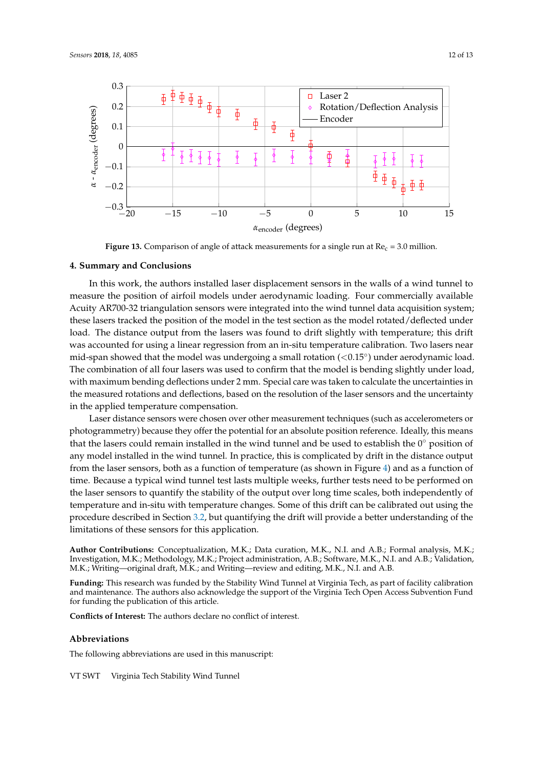<span id="page-11-0"></span>

**Figure 13.** Comparison of angle of attack measurements for a single run at  $Re<sub>c</sub> = 3.0$  million.

## **4. Summary and Conclusions**

In this work, the authors installed laser displacement sensors in the walls of a wind tunnel to measure the position of airfoil models under aerodynamic loading. Four commercially available Acuity AR700-32 triangulation sensors were integrated into the wind tunnel data acquisition system; these lasers tracked the position of the model in the test section as the model rotated/deflected under load. The distance output from the lasers was found to drift slightly with temperature; this drift was accounted for using a linear regression from an in-situ temperature calibration. Two lasers near mid-span showed that the model was undergoing a small rotation (<0.15°) under aerodynamic load. The combination of all four lasers was used to confirm that the model is bending slightly under load, with maximum bending deflections under 2 mm. Special care was taken to calculate the uncertainties in the measured rotations and deflections, based on the resolution of the laser sensors and the uncertainty in the applied temperature compensation.

Laser distance sensors were chosen over other measurement techniques (such as accelerometers or photogrammetry) because they offer the potential for an absolute position reference. Ideally, this means that the lasers could remain installed in the wind tunnel and be used to establish the  $0^{\circ}$  position of any model installed in the wind tunnel. In practice, this is complicated by drift in the distance output from the laser sensors, both as a function of temperature (as shown in Figure [4\)](#page-4-0) and as a function of time. Because a typical wind tunnel test lasts multiple weeks, further tests need to be performed on the laser sensors to quantify the stability of the output over long time scales, both independently of temperature and in-situ with temperature changes. Some of this drift can be calibrated out using the procedure described in Section [3.2,](#page-5-1) but quantifying the drift will provide a better understanding of the limitations of these sensors for this application.

**Author Contributions:** Conceptualization, M.K.; Data curation, M.K., N.I. and A.B.; Formal analysis, M.K.; Investigation, M.K.; Methodology, M.K.; Project administration, A.B.; Software, M.K., N.I. and A.B.; Validation, M.K.; Writing—original draft, M.K.; and Writing—review and editing, M.K., N.I. and A.B.

**Funding:** This research was funded by the Stability Wind Tunnel at Virginia Tech, as part of facility calibration and maintenance. The authors also acknowledge the support of the Virginia Tech Open Access Subvention Fund for funding the publication of this article.

**Conflicts of Interest:** The authors declare no conflict of interest.

## **Abbreviations**

The following abbreviations are used in this manuscript:

VT SWT Virginia Tech Stability Wind Tunnel